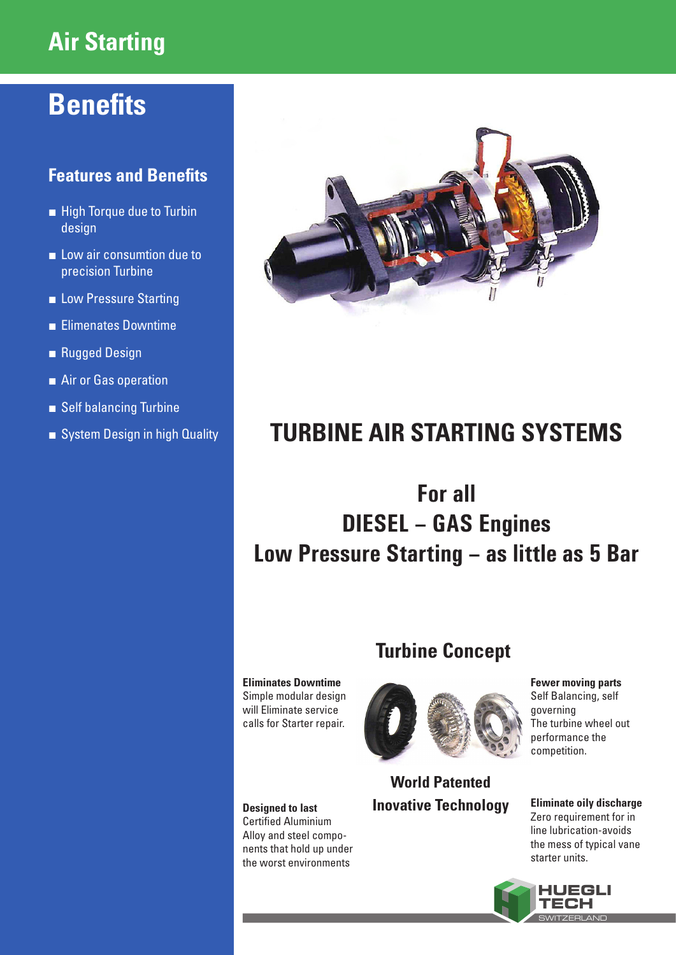# **Air Starting**

# **Benefits**

## **Features and Benefits**

- High Torque due to Turbin design
- Low air consumtion due to precision Turbine
- Low Pressure Starting
- Elimenates Downtime
- Rugged Design
- Air or Gas operation
- Self balancing Turbine
- System Design in high Quality



# **TURBINE AIR STARTING SYSTEMS**

## **For all DIESEL – GAS Engines Low Pressure Starting – as little as 5 Bar**

## **Turbine Concept**

**Eliminates Downtime** Simple modular design will Eliminate service calls for Starter repair.

**Designed to last**  Certified Aluminium Alloy and steel components that hold up under the worst environments



## **World Patented Inovative Technology**

**Fewer moving parts** Self Balancing, self governing The turbine wheel out performance the competition.

#### **Eliminate oily discharge** Zero requirement for in line lubrication-avoids

the mess of typical vane starter units.

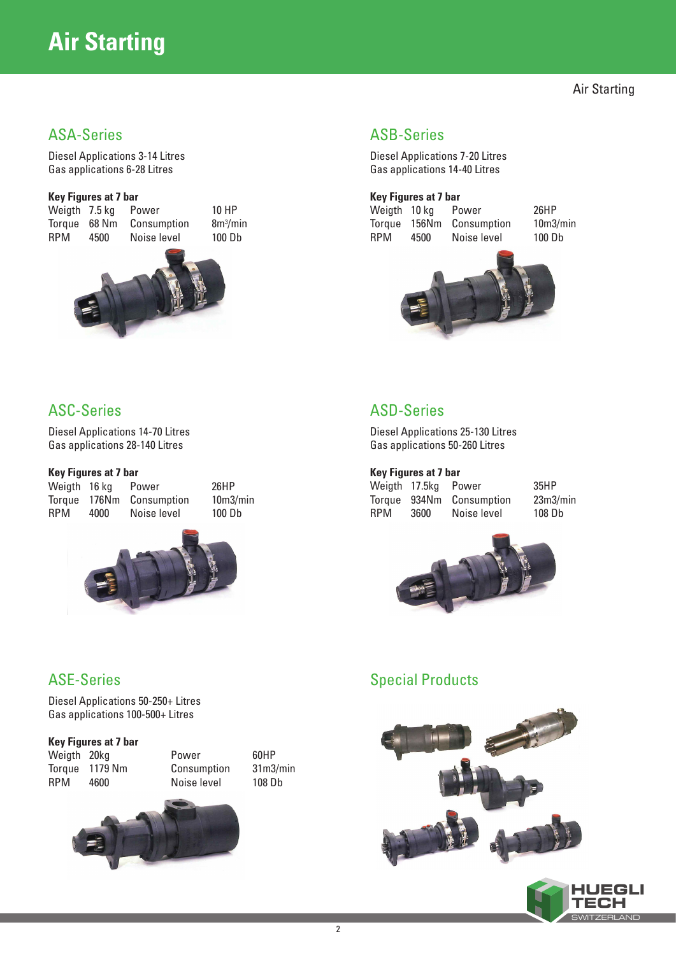# **Air Starting**

Air Starting

Diesel Applications 3-14 Litres Gas applications 6-28 Litres

#### **Key Figures at 7 bar**

Weigth 7.5 kg Power 10 HP<br>Toraue 68 Nm Consumption  $8m^3/m$ Torque 68 Nm RPM 4500 Noise level 100 Db

 $8m<sup>3</sup>/min$ 



#### ASA-Series ASB-Series

Diesel Applications 7-20 Litres Gas applications 14-40 Litres

# **Key Figures at 7 bar**

Weigth 10 kg Power 26HP Torque 156Nm Consumption 10m3/min RPM 4500 Noise level 100 Db



## ASC-Series

Diesel Applications 14-70 Litres Gas applications 28-140 Litres

#### **Key Figures at 7 bar**

Torque 176Nm Consumption 10m3/min RPM 4000 Noise level 100 Db

Weigth 16 kg Power 26HP



## ASD-Series

Diesel Applications 25-130 Litres Gas applications 50-260 Litres

#### **Key Figures at 7 bar**

Weigth 17.5kg Power 35HP Torque 934Nm Consumption 23m3/min RPM 3600 Noise level 108 Db



#### Special Products





#### ASE-Series

Diesel Applications 50-250+ Litres Gas applications 100-500+ Litres

#### **Key Figures at 7 bar**

Weigth 20kg **Power** 60HP Torque 1179 Nm Consumption 31m3/min RPM 4600 Noise level 108 Db